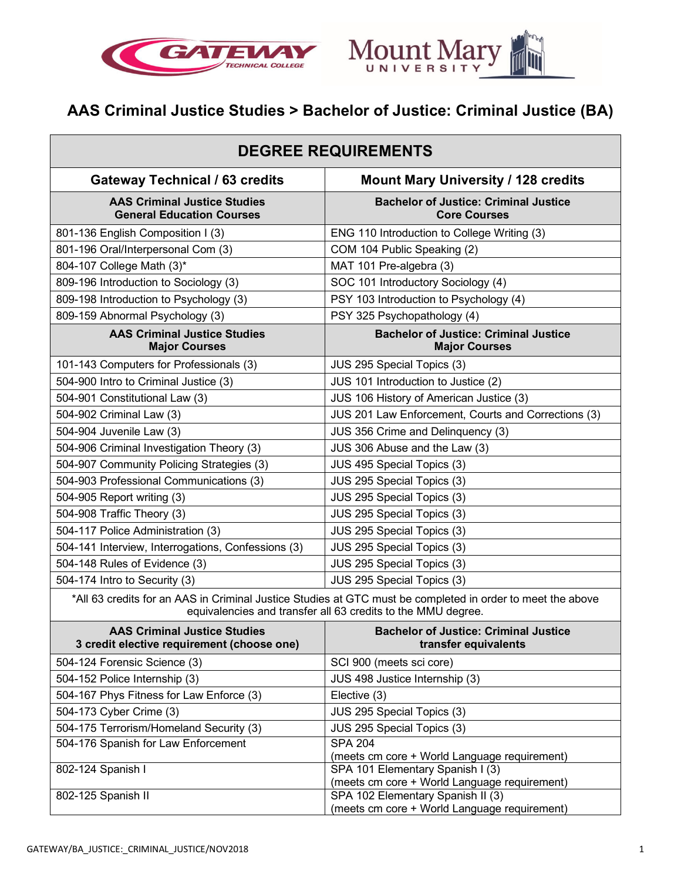



# **AAS Criminal Justice Studies > Bachelor of Justice: Criminal Justice (BA)**

| <b>DEGREE REQUIREMENTS</b>                                                                                                                                                 |                                                                                   |
|----------------------------------------------------------------------------------------------------------------------------------------------------------------------------|-----------------------------------------------------------------------------------|
| <b>Gateway Technical / 63 credits</b>                                                                                                                                      | <b>Mount Mary University / 128 credits</b>                                        |
| <b>AAS Criminal Justice Studies</b><br><b>General Education Courses</b>                                                                                                    | <b>Bachelor of Justice: Criminal Justice</b><br><b>Core Courses</b>               |
| 801-136 English Composition I (3)                                                                                                                                          | ENG 110 Introduction to College Writing (3)                                       |
| 801-196 Oral/Interpersonal Com (3)                                                                                                                                         | COM 104 Public Speaking (2)                                                       |
| 804-107 College Math (3)*                                                                                                                                                  | MAT 101 Pre-algebra (3)                                                           |
| 809-196 Introduction to Sociology (3)                                                                                                                                      | SOC 101 Introductory Sociology (4)                                                |
| 809-198 Introduction to Psychology (3)                                                                                                                                     | PSY 103 Introduction to Psychology (4)                                            |
| 809-159 Abnormal Psychology (3)                                                                                                                                            | PSY 325 Psychopathology (4)                                                       |
| <b>AAS Criminal Justice Studies</b><br><b>Major Courses</b>                                                                                                                | <b>Bachelor of Justice: Criminal Justice</b><br><b>Major Courses</b>              |
| 101-143 Computers for Professionals (3)                                                                                                                                    | JUS 295 Special Topics (3)                                                        |
| 504-900 Intro to Criminal Justice (3)                                                                                                                                      | JUS 101 Introduction to Justice (2)                                               |
| 504-901 Constitutional Law (3)                                                                                                                                             | JUS 106 History of American Justice (3)                                           |
| 504-902 Criminal Law (3)                                                                                                                                                   | JUS 201 Law Enforcement, Courts and Corrections (3)                               |
| 504-904 Juvenile Law (3)                                                                                                                                                   | JUS 356 Crime and Delinquency (3)                                                 |
| 504-906 Criminal Investigation Theory (3)                                                                                                                                  | JUS 306 Abuse and the Law (3)                                                     |
| 504-907 Community Policing Strategies (3)                                                                                                                                  | JUS 495 Special Topics (3)                                                        |
| 504-903 Professional Communications (3)                                                                                                                                    | JUS 295 Special Topics (3)                                                        |
| 504-905 Report writing (3)                                                                                                                                                 | JUS 295 Special Topics (3)                                                        |
| 504-908 Traffic Theory (3)                                                                                                                                                 | JUS 295 Special Topics (3)                                                        |
| 504-117 Police Administration (3)                                                                                                                                          | JUS 295 Special Topics (3)                                                        |
| 504-141 Interview, Interrogations, Confessions (3)                                                                                                                         | JUS 295 Special Topics (3)                                                        |
| 504-148 Rules of Evidence (3)                                                                                                                                              | JUS 295 Special Topics (3)                                                        |
| 504-174 Intro to Security (3)                                                                                                                                              | JUS 295 Special Topics (3)                                                        |
| *All 63 credits for an AAS in Criminal Justice Studies at GTC must be completed in order to meet the above<br>equivalencies and transfer all 63 credits to the MMU degree. |                                                                                   |
| <b>AAS Criminal Justice Studies</b><br>3 credit elective requirement (choose one)                                                                                          | <b>Bachelor of Justice: Criminal Justice</b><br>transfer equivalents              |
| 504-124 Forensic Science (3)                                                                                                                                               | SCI 900 (meets sci core)                                                          |
| 504-152 Police Internship (3)                                                                                                                                              | JUS 498 Justice Internship (3)                                                    |
| 504-167 Phys Fitness for Law Enforce (3)                                                                                                                                   | Elective (3)                                                                      |
| 504-173 Cyber Crime (3)                                                                                                                                                    | JUS 295 Special Topics (3)                                                        |
| 504-175 Terrorism/Homeland Security (3)                                                                                                                                    | JUS 295 Special Topics (3)                                                        |
| 504-176 Spanish for Law Enforcement                                                                                                                                        | <b>SPA 204</b><br>(meets cm core + World Language requirement)                    |
| 802-124 Spanish I                                                                                                                                                          | SPA 101 Elementary Spanish I (3)<br>(meets cm core + World Language requirement)  |
| 802-125 Spanish II                                                                                                                                                         | SPA 102 Elementary Spanish II (3)<br>(meets cm core + World Language requirement) |

┑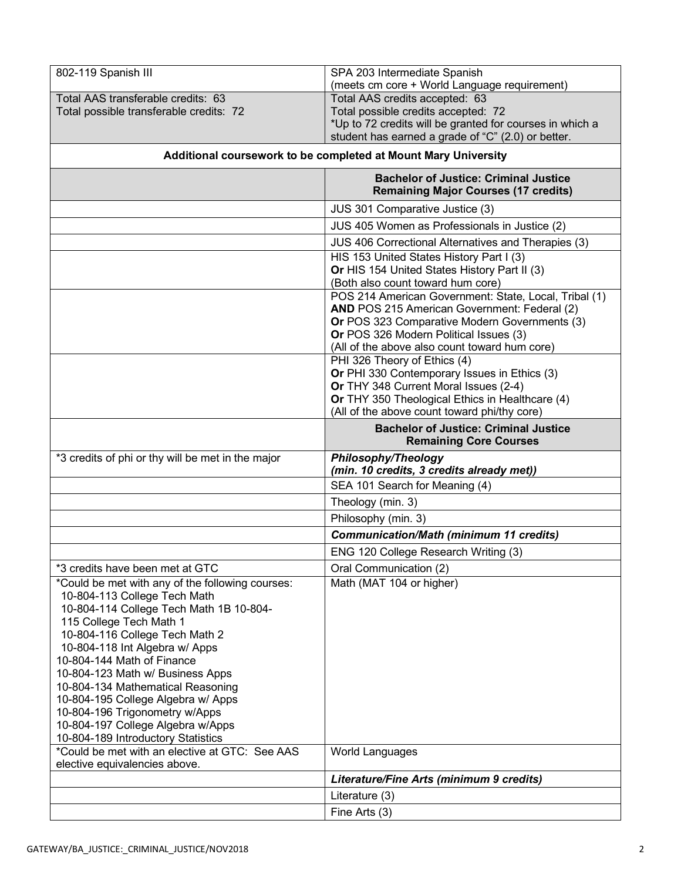| 802-119 Spanish III                                                     | SPA 203 Intermediate Spanish<br>(meets cm core + World Language requirement)                    |
|-------------------------------------------------------------------------|-------------------------------------------------------------------------------------------------|
| Total AAS transferable credits: 63                                      | Total AAS credits accepted: 63                                                                  |
| Total possible transferable credits: 72                                 | Total possible credits accepted: 72                                                             |
|                                                                         | *Up to 72 credits will be granted for courses in which a                                        |
|                                                                         | student has earned a grade of "C" (2.0) or better.                                              |
| Additional coursework to be completed at Mount Mary University          |                                                                                                 |
|                                                                         | <b>Bachelor of Justice: Criminal Justice</b><br><b>Remaining Major Courses (17 credits)</b>     |
|                                                                         | JUS 301 Comparative Justice (3)                                                                 |
|                                                                         | JUS 405 Women as Professionals in Justice (2)                                                   |
|                                                                         | JUS 406 Correctional Alternatives and Therapies (3)                                             |
|                                                                         | HIS 153 United States History Part I (3)                                                        |
|                                                                         | Or HIS 154 United States History Part II (3)                                                    |
|                                                                         | (Both also count toward hum core)                                                               |
|                                                                         | POS 214 American Government: State, Local, Tribal (1)                                           |
|                                                                         | AND POS 215 American Government: Federal (2)<br>Or POS 323 Comparative Modern Governments (3)   |
|                                                                         | Or POS 326 Modern Political Issues (3)                                                          |
|                                                                         | (All of the above also count toward hum core)                                                   |
|                                                                         | PHI 326 Theory of Ethics (4)                                                                    |
|                                                                         | Or PHI 330 Contemporary Issues in Ethics (3)                                                    |
|                                                                         | Or THY 348 Current Moral Issues (2-4)                                                           |
|                                                                         | Or THY 350 Theological Ethics in Healthcare (4)<br>(All of the above count toward phi/thy core) |
|                                                                         | <b>Bachelor of Justice: Criminal Justice</b>                                                    |
|                                                                         | <b>Remaining Core Courses</b>                                                                   |
| *3 credits of phi or thy will be met in the major                       | <b>Philosophy/Theology</b>                                                                      |
|                                                                         | (min. 10 credits, 3 credits already met))                                                       |
|                                                                         | SEA 101 Search for Meaning (4)                                                                  |
|                                                                         | Theology (min. 3)                                                                               |
|                                                                         | Philosophy (min. 3)                                                                             |
|                                                                         | <b>Communication/Math (minimum 11 credits)</b>                                                  |
|                                                                         | ENG 120 College Research Writing (3)                                                            |
| *3 credits have been met at GTC                                         | Oral Communication (2)                                                                          |
| *Could be met with any of the following courses:                        | Math (MAT 104 or higher)                                                                        |
| 10-804-113 College Tech Math                                            |                                                                                                 |
| 10-804-114 College Tech Math 1B 10-804-                                 |                                                                                                 |
| 115 College Tech Math 1                                                 |                                                                                                 |
| 10-804-116 College Tech Math 2                                          |                                                                                                 |
| 10-804-118 Int Algebra w/ Apps<br>10-804-144 Math of Finance            |                                                                                                 |
| 10-804-123 Math w/ Business Apps                                        |                                                                                                 |
| 10-804-134 Mathematical Reasoning                                       |                                                                                                 |
| 10-804-195 College Algebra w/ Apps                                      |                                                                                                 |
| 10-804-196 Trigonometry w/Apps                                          |                                                                                                 |
| 10-804-197 College Algebra w/Apps<br>10-804-189 Introductory Statistics |                                                                                                 |
| *Could be met with an elective at GTC: See AAS                          | World Languages                                                                                 |
| elective equivalencies above.                                           |                                                                                                 |
|                                                                         | Literature/Fine Arts (minimum 9 credits)                                                        |
|                                                                         | Literature (3)<br>Fine Arts (3)                                                                 |